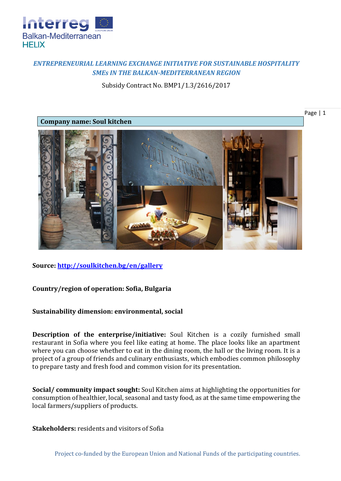

## *ENTREPRENEURIAL LEARNING EXCHANGE INITIATIVE FOR SUSTAINABLE HOSPITALITY SMEs IN THE BALKAN-MEDITERRANEAN REGION*

Subsidy Contract No. BMP1/1.3/2616/2017





**Source:<http://soulkitchen.bg/en/gallery>**

## **Country/region of operation: Sofia, Bulgaria**

## **Sustainability dimension: environmental, social**

**Description of the enterprise/initiative:** Soul Kitchen is а cozily furnished small restaurant in Sofia where you feel like eating at home. The place looks like an apartment where you can choose whether to eat in the dining room, the hall or the living room. It is a project of a group of friends and culinary enthusiasts, which embodies common philosophy to prepare tasty and fresh food and common vision for its presentation.

**Social/ community impact sought:** Soul Kitchen aims at highlighting the opportunities for consumption of healthier, local, seasonal and tasty food, as at the same time empowering the local farmers/suppliers of products.

**Stakeholders:** residents and visitors of Sofia